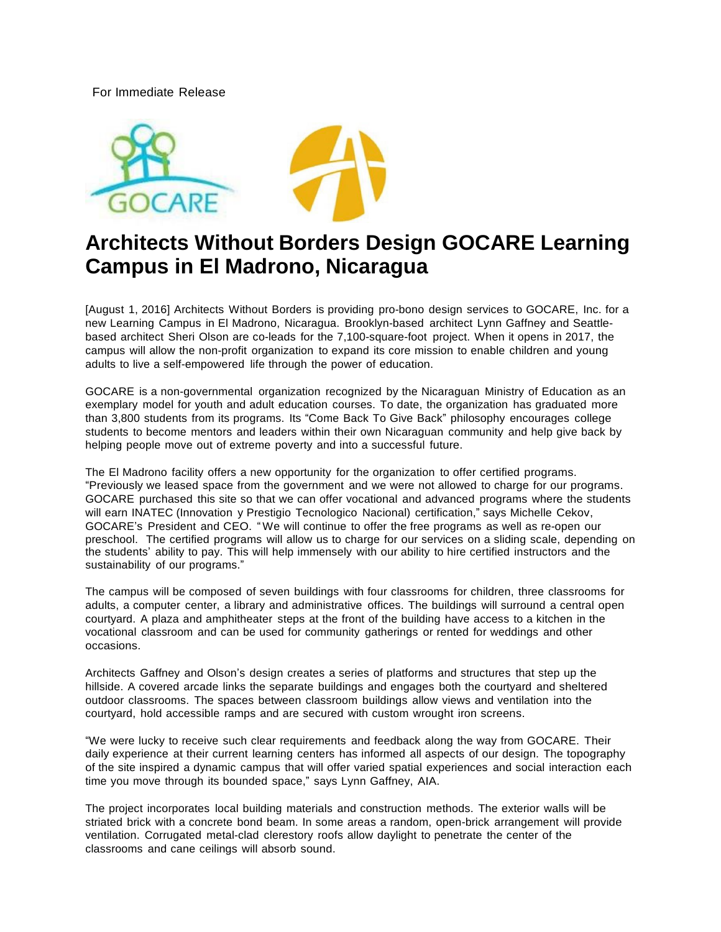For Immediate Release



# **Architects Without Borders Design GOCARE Learning Campus in El Madrono, Nicaragua**

[August 1, 2016] Architects Without Borders is providing pro-bono design services to GOCARE, Inc. for a new Learning Campus in El Madrono, Nicaragua. Brooklyn-based architect Lynn Gaffney and Seattlebased architect Sheri Olson are co-leads for the 7,100-square-foot project. When it opens in 2017, the campus will allow the non-profit organization to expand its core mission to enable children and young adults to live a self-empowered life through the power of education.

GOCARE is a non-governmental organization recognized by the Nicaraguan Ministry of Education as an exemplary model for youth and adult education courses. To date, the organization has graduated more than 3,800 students from its programs. Its "Come Back To Give Back" philosophy encourages college students to become mentors and leaders within their own Nicaraguan community and help give back by helping people move out of extreme poverty and into a successful future.

The El Madrono facility offers a new opportunity for the organization to offer certified programs. "Previously we leased space from the government and we were not allowed to charge for our programs. GOCARE purchased this site so that we can offer vocational and advanced programs where the students will earn INATEC (Innovation y Prestigio Tecnologico Nacional) certification," says Michelle Cekov, GOCARE's President and CEO. "We will continue to offer the free programs as well as re-open our preschool. The certified programs will allow us to charge for our services on a sliding scale, depending on the students' ability to pay. This will help immensely with our ability to hire certified instructors and the sustainability of our programs."

The campus will be composed of seven buildings with four classrooms for children, three classrooms for adults, a computer center, a library and administrative offices. The buildings will surround a central open courtyard. A plaza and amphitheater steps at the front of the building have access to a kitchen in the vocational classroom and can be used for community gatherings or rented for weddings and other occasions.

Architects Gaffney and Olson's design creates a series of platforms and structures that step up the hillside. A covered arcade links the separate buildings and engages both the courtyard and sheltered outdoor classrooms. The spaces between classroom buildings allow views and ventilation into the courtyard, hold accessible ramps and are secured with custom wrought iron screens.

"We were lucky to receive such clear requirements and feedback along the way from GOCARE. Their daily experience at their current learning centers has informed all aspects of our design. The topography of the site inspired a dynamic campus that will offer varied spatial experiences and social interaction each time you move through its bounded space," says Lynn Gaffney, AIA.

The project incorporates local building materials and construction methods. The exterior walls will be striated brick with a concrete bond beam. In some areas a random, open-brick arrangement will provide ventilation. Corrugated metal-clad clerestory roofs allow daylight to penetrate the center of the classrooms and cane ceilings will absorb sound.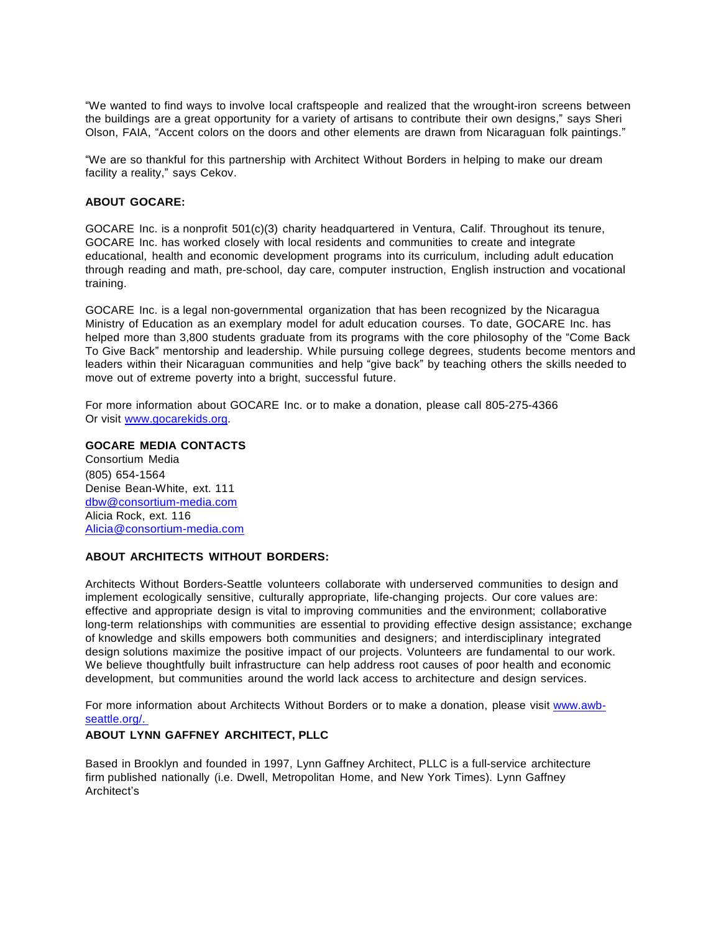"We wanted to find ways to involve local craftspeople and realized that the wrought-iron screens between the buildings are a great opportunity for a variety of artisans to contribute their own designs," says Sheri Olson, FAIA, "Accent colors on the doors and other elements are drawn from Nicaraguan folk paintings."

"We are so thankful for this partnership with Architect Without Borders in helping to make our dream facility a reality," says Cekov.

### **ABOUT GOCARE:**

GOCARE Inc. is a nonprofit 501(c)(3) charity headquartered in Ventura, Calif. Throughout its tenure, GOCARE Inc. has worked closely with local residents and communities to create and integrate educational, health and economic development programs into its curriculum, including adult education through reading and math, pre-school, day care, computer instruction, English instruction and vocational training.

GOCARE Inc. is a legal non-governmental organization that has been recognized by the Nicaragua Ministry of Education as an exemplary model for adult education courses. To date, GOCARE Inc. has helped more than 3,800 students graduate from its programs with the core philosophy of the "Come Back To Give Back" mentorship and leadership. While pursuing college degrees, students become mentors and leaders within their Nicaraguan communities and help "give back" by teaching others the skills needed to move out of extreme poverty into a bright, successful future.

For more information about GOCARE Inc. or to make a donation, please call 805-275-4366 Or visit [www.gocarekids.org.](http://www.gocarekids.org/)

#### **GOCARE MEDIA CONTACTS**

Consortium Media (805) 654-1564 Denise Bean-White, ext. 111 [dbw@consortium-media.com](mailto:dbw@consortium-media.com) Alicia Rock, ext. 116 [Alicia@consortium-media.com](mailto:Alicia@consortium-media.com)

### **ABOUT ARCHITECTS WITHOUT BORDERS:**

Architects Without Borders-Seattle volunteers collaborate with underserved communities to design and implement ecologically sensitive, culturally appropriate, life-changing projects. Our core values are: effective and appropriate design is vital to improving communities and the environment; collaborative long-term relationships with communities are essential to providing effective design assistance; exchange of knowledge and skills empowers both communities and designers; and interdisciplinary integrated design solutions maximize the positive impact of our projects. Volunteers are fundamental to our work. We believe thoughtfully built infrastructure can help address root causes of poor health and economic development, but communities around the world lack access to architecture and design services.

For more information about Architects Without Borders or to make a donation, please visit [www.awb](http://www.awb-seattle.org/)[seattle.org/.](http://www.awb-seattle.org/)

#### **ABOUT LYNN GAFFNEY ARCHITECT, PLLC**

Based in Brooklyn and founded in 1997, Lynn Gaffney Architect, PLLC is a full-service architecture firm published nationally (i.e. Dwell, Metropolitan Home, and New York Times). Lynn Gaffney Architect's